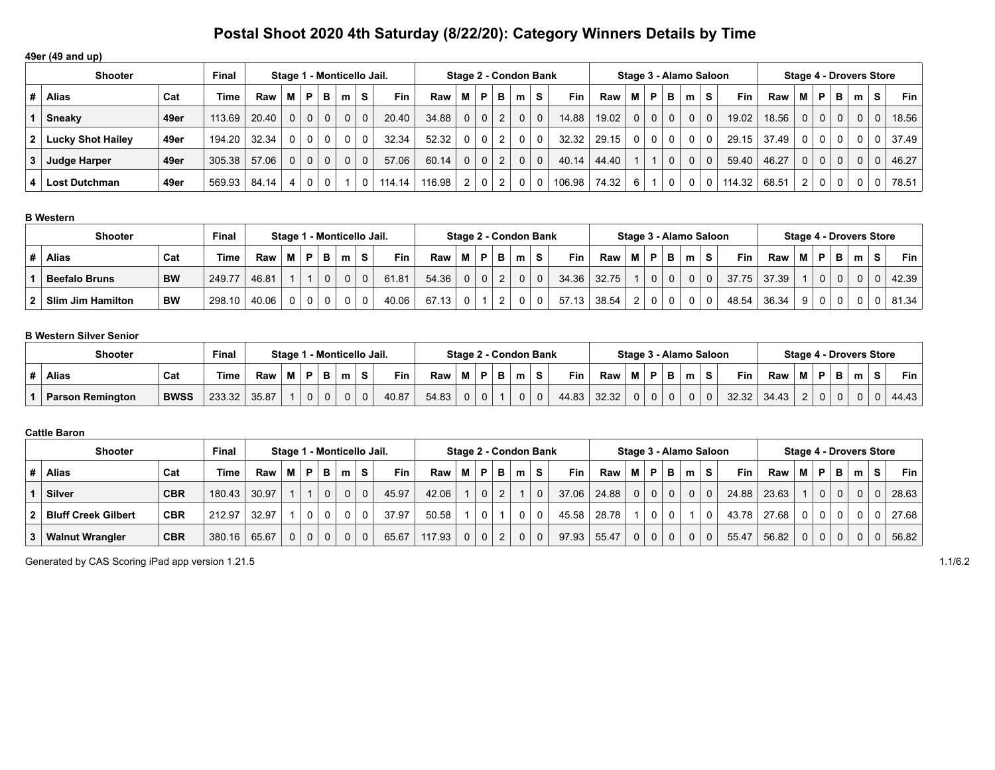## **49er (49 and up)**

|   | <b>Shooter</b>           |      | <b>Final</b> |       | Stage 1 - Monticello Jail. |                |                |          |          |        |        |                |              |                | Stage 2 - Condon Bank |                |            |       |              |                |                | Stage 3 - Alamo Saloon |          |            |       |                |                |                | <b>Stage 4 - Drovers Store</b> |                |       |
|---|--------------------------|------|--------------|-------|----------------------------|----------------|----------------|----------|----------|--------|--------|----------------|--------------|----------------|-----------------------|----------------|------------|-------|--------------|----------------|----------------|------------------------|----------|------------|-------|----------------|----------------|----------------|--------------------------------|----------------|-------|
| # | <b>Alias</b>             | Cat  | Time         | Raw   |                            | M   P          | B I            | m        | S.       | Fin    | Raw    | M I            | P.           | в              | m                     | S.             | <b>Fin</b> | Raw   | M            | P              | в              | m                      | S.       | <b>Fin</b> | Raw   | M              | P              | в              | m                              | S.             | Fin   |
|   | Sneaky                   | 49er | 113.69       | 20.40 | $\Omega$                   | $\Omega$       | 0 <sup>1</sup> | $\Omega$ | $\Omega$ | 20.40  | 34.88  | 0 <sup>1</sup> | $\Omega$     | 2              | 0 <sup>1</sup>        | $\mathbf 0$    | 14.88      | 19.02 | $\Omega$     | 0 <sup>1</sup> | $\Omega$       | 0 <sup>1</sup>         | $\Omega$ | 19.02      | 18.56 | 0 <sup>1</sup> | $\Omega$       | 0 <sup>1</sup> | 0 <sup>1</sup>                 | $\overline{0}$ | 18.56 |
|   | <b>Lucky Shot Hailey</b> | 49er | 194.20       | 32.34 | $\Omega$                   | $\Omega$       | 0 <sup>1</sup> | 0        | $\Omega$ | 32.34  | 52.32  | 0              | $\mathbf{0}$ | 2              | $\Omega$              | $\Omega$       | 32.32      | 29.15 | $\mathbf{0}$ |                | $0 \mid 0$     | $\overline{0}$         | $\Omega$ | 29.15      | 37.49 | 0 <sup>1</sup> | 0 <sup>1</sup> | $\overline{0}$ |                                | 0 <sup>1</sup> | 37.49 |
| 3 | Judge Harper             | 49er | 305.38       | 57.06 | 0 <sup>1</sup>             | 0 <sup>1</sup> | 0 <sup>1</sup> | $\Omega$ | $\Omega$ | 57.06  | 60.14  | 0 <sup>1</sup> | $\Omega$     | $\overline{2}$ | $\overline{0}$        | $\mathbf{0}$   | 40.14      | 44.40 |              |                | $\overline{0}$ | $\Omega$               | $\Omega$ | 59.40      | 46.27 |                | $0$   $0$      | 0 <sup>1</sup> | 0 <sup>1</sup>                 | $\overline{0}$ | 46.27 |
|   | <b>Lost Dutchman</b>     | 49er | 569.93       | 84.14 | $\vert$ 4                  |                | $\Omega$       |          | $\Omega$ | 114.14 | 116.98 | 2 <sup>1</sup> | $\mathbf 0$  | 2 <sub>1</sub> | 0 <sup>1</sup>        | $\overline{0}$ | 106.98     | 74.32 | 6            |                | $\mathbf 0$    | 0 <sup>1</sup>         | $\Omega$ | 114.32     | 68.51 | 2 <sup>1</sup> | $\mathbf 0$    | $\Omega$       |                                | 0 <sup>1</sup> | 78.51 |

#### **B Western**

| <b>Shooter</b>           |           | <b>Final</b> |       |    |   | Stage 1 - Monticello Jail. |   |            |       |   |              |   |   | Stage 2 - Condon Bank |            |       |     |                |          | Stage 3 - Alamo Saloon |                |       |       |                |                |   |   | <b>Stage 4 - Drovers Store</b> |            |
|--------------------------|-----------|--------------|-------|----|---|----------------------------|---|------------|-------|---|--------------|---|---|-----------------------|------------|-------|-----|----------------|----------|------------------------|----------------|-------|-------|----------------|----------------|---|---|--------------------------------|------------|
| <b>Alias</b>             | Cat       | <b>Time</b>  | Raw   |    | в | m                          | s | <b>Fin</b> | Raw   | м | P            | в | m | S.                    | <b>Fin</b> | Raw   | 'M. | P              | в        | m                      | S.             | Fin   | Raw   | М              | P              | D | m | S                              | <b>Fin</b> |
| <b>Beefalo Bruns</b>     | <b>BW</b> | 249.77       | 46.81 |    |   |                            | 0 | 61.81      | 54.36 | 0 | $\mathbf{0}$ |   |   | 0 <sub>1</sub>        | 34.36      | 32.75 |     | $\overline{0}$ | $\Omega$ |                        | 0 <sub>1</sub> | 37.75 | 37.39 |                | $\overline{0}$ |   |   |                                | 42.39      |
| <b>Slim Jim Hamilton</b> | <b>BW</b> | 298.10       | 40.06 | 01 |   |                            | 0 | 40.06      | 67.13 |   |              |   |   | 0                     | 57.13      | 38.54 | C.  |                | 0        |                        |                | 48.54 | 36.34 | 9 <sup>1</sup> |                |   |   |                                | 81.34      |

## **B Western Silver Senior**

| <b>Shooter</b>          |             | Staɑe 1     |       |  |   | 1 - Monticello Jail. |             | Stage 2 - Condon Bank |       |   |   |   |              |            |       | Stage 3 - Alamo Saloon |   |   |            |       |        |   | Stage 4 - Drovers Store |   |           |            |
|-------------------------|-------------|-------------|-------|--|---|----------------------|-------------|-----------------------|-------|---|---|---|--------------|------------|-------|------------------------|---|---|------------|-------|--------|---|-------------------------|---|-----------|------------|
| <b>Alias</b>            | Cat         | <b>Time</b> | Raw   |  | в | m                    |             | <b>Fin</b>            | Raw   | M | D | m | S.           | <b>Fin</b> | Raw   | м                      | P | m | <b>Fin</b> | Raw   | M      | P | P                       | m | $\bullet$ | <b>Fin</b> |
| <b>Parson Remington</b> | <b>BWSS</b> | 233.32      | 35.87 |  |   |                      | $\mathbf 0$ | 40.87                 | 54.83 |   |   |   | $\mathbf{0}$ | 44.83      | 32.32 |                        |   |   | 32.32      | 34.43 | $\sim$ |   |                         |   |           | 44.43      |

## **Cattle Baron**

| Final<br><b>Shooter</b><br>Stage 1 - Monticello Jail. |            |             |       |                |                |          |   |          |            |        |          |          |   | Stage 2 - Condon Bank |             |            |       |                |                 |                | Stage 3 - Alamo Saloon |                |            |       |                |             |              |          | Stage 4 - Drovers Store |       |
|-------------------------------------------------------|------------|-------------|-------|----------------|----------------|----------|---|----------|------------|--------|----------|----------|---|-----------------------|-------------|------------|-------|----------------|-----------------|----------------|------------------------|----------------|------------|-------|----------------|-------------|--------------|----------|-------------------------|-------|
| Alias                                                 | Cat        | <b>Time</b> | Raw   | М              | P              | в        | m | S.       | <b>Fin</b> | Raw    | м        | P        | в | m                     | s           | <b>Fin</b> | Raw I | м              | <b>P</b>        | в              | m                      | S.             | <b>Fin</b> | Raw   | М              | P.          | в            | m        | S.                      | Fin   |
| <b>Silver</b>                                         | <b>CBR</b> | 180.43      | 30.97 |                |                |          |   | $\Omega$ | 45.97      | 42.06  |          | $\Omega$ | 2 |                       | $\Omega$    | 37.06      | 24.88 |                | $0 \mid 0 \mid$ | 0 <sup>1</sup> | $\overline{0}$         | 0 <sup>1</sup> | 24.88      | 23.63 |                | $\Omega$    | $\Omega$     | $\Omega$ | 0 <sup>1</sup>          | 28.63 |
| <b>Bluff Creek Gilbert</b>                            | <b>CBR</b> | 212.97      | 32.97 |                |                | $\Omega$ |   |          | 37.97      | 50.58  |          | $\Omega$ |   | $\Omega$              | $\mathbf 0$ | 45.58      | 28.78 |                | $\overline{0}$  | 0              |                        | 0 <sup>1</sup> | 43.78      | 27.68 | 0 <sup>1</sup> | $\Omega$    | $\Omega$     | $\Omega$ | 0 <sup>1</sup>          | 27.68 |
| <b>Walnut Wrangler</b>                                | <b>CBR</b> | 380.16      | 65.67 | 0 <sup>1</sup> | 0 <sup>1</sup> | $\Omega$ |   | $\Omega$ | 65.67      | 117.93 | $\Omega$ | $\Omega$ |   | $\Omega$              | $\Omega$    | 97.93      | 55.47 | 0 <sup>1</sup> | $\overline{0}$  | $\overline{0}$ | $\Omega$               | 0 <sup>1</sup> | 55.47      | 56.82 | 0              | $\mathbf 0$ | $\mathbf{0}$ |          | $\Omega$                | 56.82 |

Generated by CAS Scoring iPad app version 1.21.5 1.1/6.2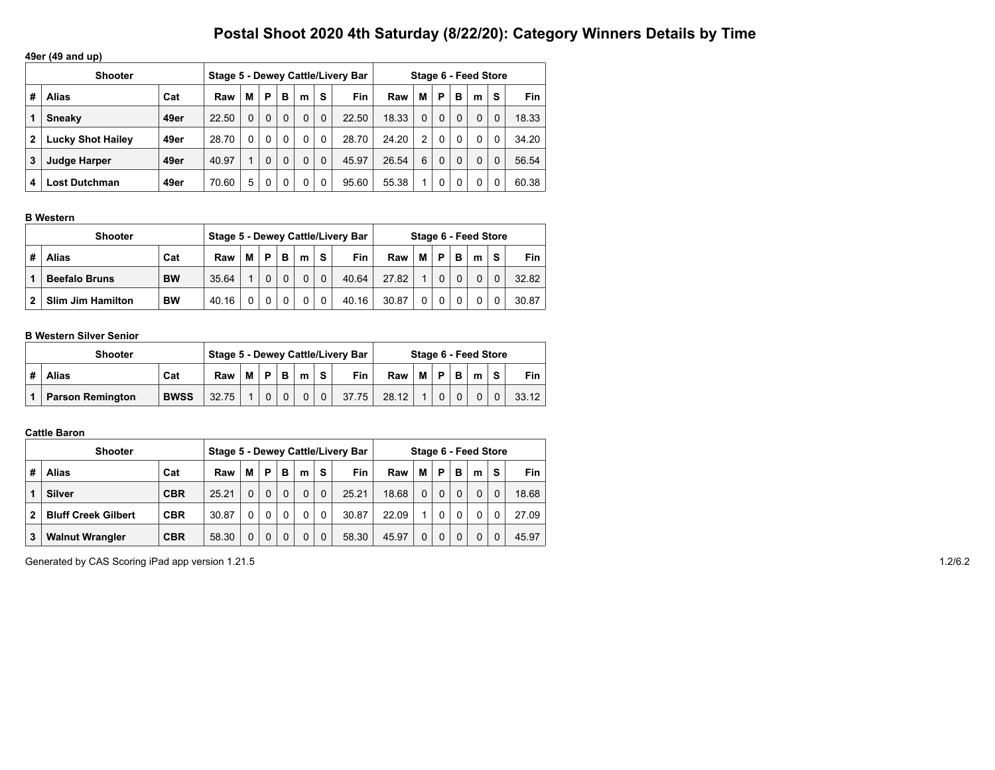## **49er (49 and up)**

|   | <b>Shooter</b>           |      |       |   |          |          |          |          | Stage 5 - Dewey Cattle/Livery Bar |       |          |          |          | Stage 6 - Feed Store |   |       |
|---|--------------------------|------|-------|---|----------|----------|----------|----------|-----------------------------------|-------|----------|----------|----------|----------------------|---|-------|
| # | Alias                    | Cat  | Raw   | М | P        | в        | m        | s        | <b>Fin</b>                        | Raw   | М        | P        | в        | m                    | S | Fin   |
|   | <b>Sneaky</b>            | 49er | 22.50 | 0 | $\Omega$ | 0        | $\Omega$ | 0        | 22.50                             | 18.33 | $\Omega$ | $\Omega$ | $\Omega$ | $\mathbf{0}$         | 0 | 18.33 |
| 2 | <b>Lucky Shot Hailey</b> | 49er | 28.70 | 0 | $\Omega$ | $\Omega$ | 0        | 0        | 28.70                             | 24.20 | 2        | $\Omega$ | $\Omega$ | $\Omega$             |   | 34.20 |
| 3 | <b>Judge Harper</b>      | 49er | 40.97 | 4 | $\Omega$ | 0        | $\Omega$ | $\Omega$ | 45.97                             | 26.54 | 6        | $\Omega$ | $\Omega$ | $\Omega$             |   | 56.54 |
|   | <b>Lost Dutchman</b>     | 49er | 70.60 | 5 | $\Omega$ | 0        | 0        | 0        | 95.60                             | 55.38 |          | 0        | 0        | 0                    |   | 60.38 |

#### **B Western**

| <b>Shooter</b>           |           |       |   |   |   |          |   | Stage 5 - Dewey Cattle/Livery Bar |       |              |   |   | Stage 6 - Feed Store |   |       |
|--------------------------|-----------|-------|---|---|---|----------|---|-----------------------------------|-------|--------------|---|---|----------------------|---|-------|
| Alias                    | Cat       | Raw   | м | P | в | m        | s | Fin                               | Raw   | м            | P | B | m                    | S | Fin   |
| <b>Beefalo Bruns</b>     | <b>BW</b> | 35.64 |   |   |   | $\Omega$ |   | 40.64                             | 27.82 |              |   |   | 0                    |   | 32.82 |
| <b>Slim Jim Hamilton</b> | <b>BW</b> | 40.16 |   |   |   |          |   | 40.16                             | 30.87 | $\mathbf{0}$ |   |   |                      |   | 30.87 |

#### **B Western Silver Senior**

| <b>Shooter</b>          |             |       |   |          |          |          |                | Stage 5 - Dewey Cattle/Livery Bar |       |   |   |   | Stage 6 - Feed Store |          |       |
|-------------------------|-------------|-------|---|----------|----------|----------|----------------|-----------------------------------|-------|---|---|---|----------------------|----------|-------|
| <b>Alias</b>            | Cat         | Raw   | М | P.       | B        | m        | $\sim$         | <b>Fin</b>                        | Raw   | М | P | B | m                    | <b>S</b> | Fin   |
| <b>Parson Remington</b> | <b>BWSS</b> | 32.75 |   | $\Omega$ | $\Omega$ | $\Omega$ | $\overline{0}$ | 37.75                             | 28.12 |   |   |   |                      |          | 33.12 |

## **Cattle Baron**

|              | <b>Shooter</b>             |            |       |          |          |          |          |          | Stage 5 - Dewey Cattle/Livery Bar |       |          |          |          | Stage 6 - Feed Store |          |            |
|--------------|----------------------------|------------|-------|----------|----------|----------|----------|----------|-----------------------------------|-------|----------|----------|----------|----------------------|----------|------------|
| #            | <b>Alias</b>               | Cat        | Raw   | М        | P        | в        | m        | S        | <b>Fin</b>                        | Raw   | М        | P        | в        | m                    | s        | <b>Fin</b> |
|              | <b>Silver</b>              | <b>CBR</b> | 25.21 | $\Omega$ | $\Omega$ | $\Omega$ | $\Omega$ | $\Omega$ | 25.21                             | 18.68 | $\Omega$ | $\Omega$ | $\Omega$ |                      | $\Omega$ | 18.68      |
| $\mathbf{2}$ | <b>Bluff Creek Gilbert</b> | <b>CBR</b> | 30.87 | 0        | $\Omega$ | $\Omega$ | $\Omega$ | $\Omega$ | 30.87                             | 22.09 |          | $\Omega$ | 0        |                      | $\Omega$ | 27.09      |
| 3            | <b>Walnut Wrangler</b>     | <b>CBR</b> | 58.30 | 0        | $\Omega$ | $\Omega$ | $\Omega$ | $\Omega$ | 58.30                             | 45.97 | 0        | $\Omega$ | 0        |                      | 0        | 45.97      |

Generated by CAS Scoring iPad app version 1.21.5 1.2/6.2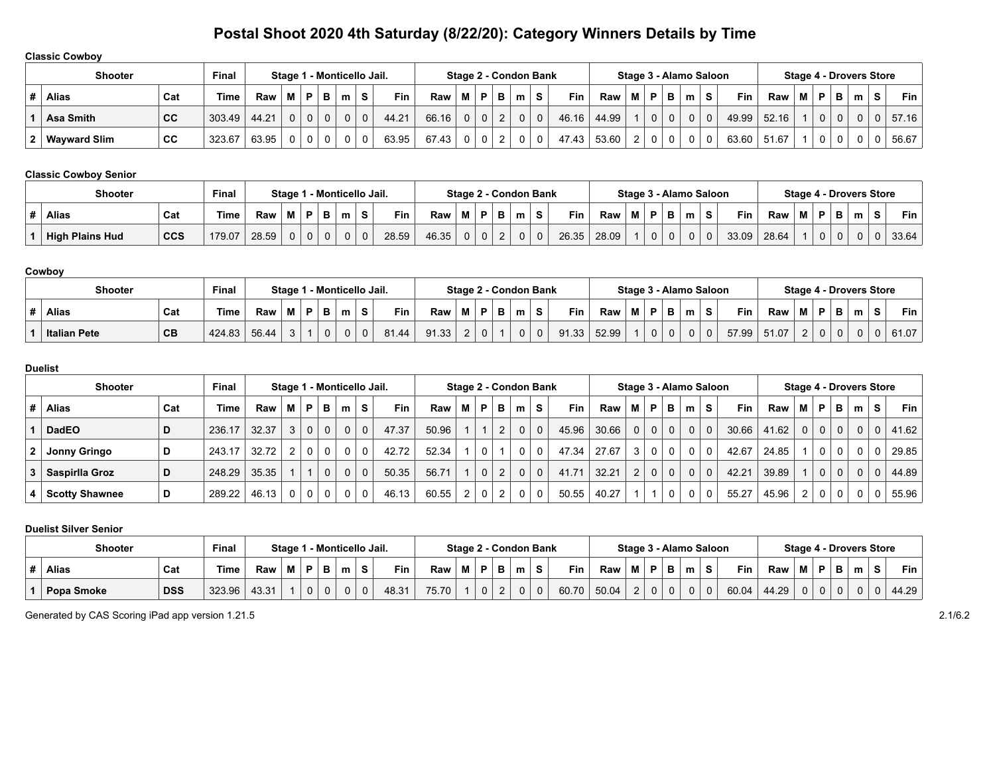### **Classic Cowboy**

| <b>Shooter</b>   |     | Final       |       |                |                |   | Stage 1 - Monticello Jail. |             |            |       |   |          |                |             | Stage 2 - Condon Bank   |            |       |                |                |          | Stage 3 - Alamo Saloon |          |            |       |   |          |          |       | <b>Stage 4 - Drovers Store</b> |       |
|------------------|-----|-------------|-------|----------------|----------------|---|----------------------------|-------------|------------|-------|---|----------|----------------|-------------|-------------------------|------------|-------|----------------|----------------|----------|------------------------|----------|------------|-------|---|----------|----------|-------|--------------------------------|-------|
| <b>Alias</b>     | Cat | <b>Time</b> | Raw   | мI             | P.             | в | m                          | S.          | <b>Fin</b> | Raw   | м | P.       | в              | m           | S.                      | <b>Fin</b> | Raw   | 'MI            | P.             | в        | m                      | S.       | <b>Fin</b> | Raw   | М | P.       | в        | $m$ . | <b>S</b>                       | Fin   |
| <b>Asa Smith</b> | CC  | 303.49      | 44.21 | 0 <sup>1</sup> | 0 <sup>1</sup> |   |                            | $\mathbf 0$ | 44.21      | 66.16 | 0 | $\Omega$ | $\overline{2}$ | $\Omega$    | $\Omega$                | 46.16      | 44.99 |                | $\mathbf 0$    | $\Omega$ |                        | $\Omega$ | 49.99      | 52.16 |   | $\Omega$ | $\Omega$ |       |                                | 57.16 |
| 2   Wayward Slim | CС  | 323.67      | 63.95 | $\Omega$       |                |   |                            |             | 63.95      | 67.43 |   |          |                | $\mathbf 0$ | $\overline{\mathbf{0}}$ | 47.43      | 53.60 | $\overline{2}$ | $\overline{0}$ | 0        |                        | 0        | 63.60      | 51.67 |   |          |          |       |                                | 56.67 |

### **Classic Cowboy Senior**

| <b>Final</b><br><b>Shooter</b><br>1 - Monticello Jail.<br>Staɑe 1 |            |        |       |   |  |   |   |             |       |       |   |          | Stage 2 - Condon Bank |   |            |       |   |             |   |   | Stage 3 - Alamo Saloon |            |       |   |              |   | <b>Stage 4 - Drovers Store</b> |   |       |
|-------------------------------------------------------------------|------------|--------|-------|---|--|---|---|-------------|-------|-------|---|----------|-----------------------|---|------------|-------|---|-------------|---|---|------------------------|------------|-------|---|--------------|---|--------------------------------|---|-------|
| <b>Alias</b>                                                      | Cat        | Time   | Raw   | M |  |   | m | S           | Fin   | Raw   | м | D.       | m                     | s | <b>Fin</b> | Raw   | M | P           |   | m | S.                     | <b>Fin</b> | Raw   | М | P            | P | m                              | s | Fin   |
| <b>High Plains Hud</b>                                            | <b>CCS</b> | 179.07 | 28.59 |   |  | 0 |   | $\mathbf 0$ | 28.59 | 46.35 |   | $\Omega$ |                       | 0 | 26.35      | 28.09 |   | $\mathbf 0$ | 0 |   | $\Omega$               | 33.09      | 28.64 |   | $\mathbf{0}$ | 0 |                                | 0 | 33.64 |

#### **Cowboy**

| <b>Shooter</b>      |     | Final  |       | Stage 1 |  | l - Monticello Jail. |   |                               |       | Stage 2 - Condon Bank |              |          |   |       |       |          |        |   | Stage 3 - Alamo Saloon |       |       |   |   |    | Stage 4 - Drovers Store |            |
|---------------------|-----|--------|-------|---------|--|----------------------|---|-------------------------------|-------|-----------------------|--------------|----------|---|-------|-------|----------|--------|---|------------------------|-------|-------|---|---|----|-------------------------|------------|
| <b>Alias</b>        | Cat | Time   | Raw   | м       |  |                      | S | Fin                           | Raw   |                       | P '          | m        | s | Fin   | Raw   | D        | в<br>Ð | m |                        | Fin   | Raw   | М | D | в. | m                       | <b>Fin</b> |
| <b>Italian Pete</b> | CB  | 424.83 | 56.44 | ັ       |  |                      | 0 | 0.4<br>$\sim$ 1.44 $^{\circ}$ | 91.33 | <u>.</u>              | $\mathbf{0}$ | $\Omega$ | 0 | 91.33 | 52.99 | $\Omega$ | 0      |   |                        | 57.99 | 51.07 | ⌒ |   | 0  |                         | 61.07      |

#### **Duelist**

| <b>Shooter</b>        |     | <b>Final</b> |       | Stage 1 - Monticello Jail. |   |          |   |            |            |       |                |                |                |                | Stage 2 - Condon Bank |            |       |                |             |                | Stage 3 - Alamo Saloon |                |            |       |                |                |                | <b>Stage 4 - Drovers Store</b> |                |       |
|-----------------------|-----|--------------|-------|----------------------------|---|----------|---|------------|------------|-------|----------------|----------------|----------------|----------------|-----------------------|------------|-------|----------------|-------------|----------------|------------------------|----------------|------------|-------|----------------|----------------|----------------|--------------------------------|----------------|-------|
| <b>Alias</b>          | Cat | <b>Time</b>  | Raw   | м                          | P | в        | m | -S         | <b>Fin</b> | Raw   | м              | <b>P</b>       | в              | m <sup>1</sup> | S.                    | <b>Fin</b> | Raw   | M I            | P           | в              | m <sup>1</sup>         | S.             | <b>Fin</b> | Raw   | м              | P              | в              | m                              | S.             | Fin   |
| <b>DadEO</b>          | D   | 236.17       | 32.37 | 3                          | 0 | $\Omega$ |   | $0 \mid 0$ | 47.37      | 50.96 |                | $\overline{ }$ | $\overline{2}$ | $\Omega$       | $\overline{0}$        | 45.96      | 30.66 |                | $0 \mid 0$  | 0 <sup>1</sup> | 0 <sup>1</sup>         | $\overline{0}$ | 30.66      | 41.62 | 0 <sup>1</sup> | 0 <sup>1</sup> | 0 <sup>1</sup> | $\Omega$                       | 0 <sup>1</sup> | 41.62 |
| Jonny Gringo          | D   | 243.17       | 32.72 | 2                          |   | $\Omega$ | 0 | 0          | 42.72      | 52.34 |                | 0              |                | 0              | $\Omega$              | 47.34      | 27.67 | 3 <sup>1</sup> | $\mathbf 0$ | 0 <sup>1</sup> | 0 <sup>1</sup>         | $\Omega$       | 42.67      | 24.85 |                | 0 <sup>1</sup> | $\Omega$       |                                |                | 29.85 |
| Saspirlla Groz        | D   | 248.29       | 35.35 |                            |   | $\Omega$ |   | $0 \mid 0$ | 50.35      | 56.71 |                | $\Omega$       | 2 <sup>1</sup> | $\Omega$       | 0 <sup>1</sup>        | 41.71      | 32.21 |                | $2 \mid 0$  | 0 <sup>1</sup> | 0 <sup>1</sup>         | $\Omega$       | 42.21      | 39.89 |                | 0 <sup>1</sup> | 0 <sup>1</sup> | $\Omega$                       | $\Omega$       | 44.89 |
| <b>Scotty Shawnee</b> | D   | 289.22       | 46.13 | $\Omega$                   |   | $\Omega$ | 0 | 0          | 46.13      | 60.55 | $\overline{2}$ | $\Omega$       | $\overline{2}$ | 0              | $\Omega$              | 50.55      | 40.27 |                |             | $\Omega$       |                        | $\Omega$       | 55.27      | 45.96 | 2 <sup>1</sup> | 0 <sup>1</sup> |                |                                |                | 55.96 |

#### **Duelist Silver Senior**

| <b>Shooter</b> |            | <b>Final</b> |       | Stage 1 |  | - Monticello Jail. |   |            |       |   |    | Stage 2 - Condon Bank |   |            |       |          |        | Stage 3 - Alamo Saloon |    |       |       |   |          |   | Stage 4 - Drovers Store |   |       |
|----------------|------------|--------------|-------|---------|--|--------------------|---|------------|-------|---|----|-----------------------|---|------------|-------|----------|--------|------------------------|----|-------|-------|---|----------|---|-------------------------|---|-------|
| Alias          | Cat        | ™e           | Raw   | M       |  |                    | s | <b>Fin</b> | Raw   | M | в. | m                     | s | <b>Fin</b> | Raw   | M        | Þ      | m                      | S. | Fin   | Raw   | M | Þ        |   | m                       | ১ | Fin   |
| Popa Smoke     | <b>DSS</b> | 323.96       | 43.31 |         |  |                    | 0 | 10 O 1     | 75.70 |   | 0  |                       | 0 | 60.70      | 50.04 | <u>_</u> | $\cap$ |                        | 0  | 60.04 | 44.29 | ັ | $\Omega$ | U |                         | 0 | 44.29 |

Generated by CAS Scoring iPad app version 1.21.5 2.1/6.2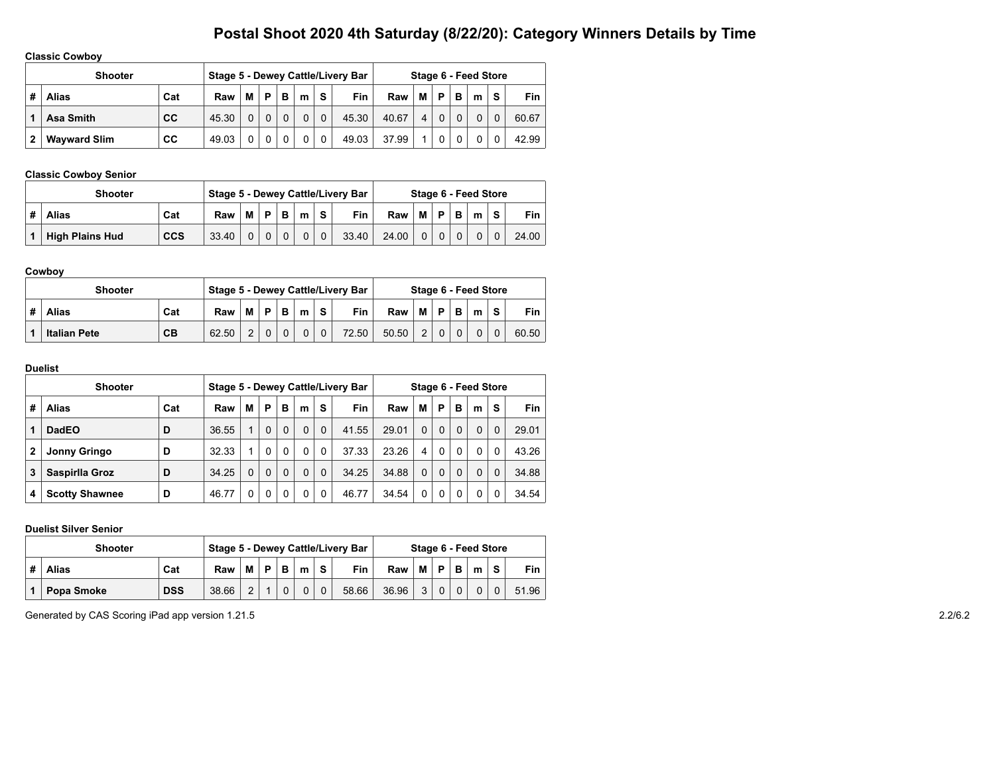## **Classic Cowboy**

|   | <b>Shooter</b>      |     |       |   |          |   |   |          | Stage 5 - Dewey Cattle/Livery Bar |       |   |          |   | Stage 6 - Feed Store |   |            |
|---|---------------------|-----|-------|---|----------|---|---|----------|-----------------------------------|-------|---|----------|---|----------------------|---|------------|
| # | <b>Alias</b>        | Cat | Raw   | М | P        | в | m | s        | Fin                               | Raw   | М | P        | в | m                    | S | <b>Fin</b> |
|   | Asa Smith           | СC  | 45.30 |   | $\Omega$ |   |   | $\Omega$ | 45.30                             | 40.67 | 4 | $\Omega$ |   |                      |   | 60.67      |
| 2 | <b>Wayward Slim</b> | СC  | 49.03 |   | $\Omega$ |   |   | 0        | 49.03                             | 37.99 |   |          |   |                      |   | 42.99      |

#### **Classic Cowboy Senior**

|   | <b>Shooter</b>         |            |       |          |   |   |          |            | Stage 5 - Dewey Cattle/Livery Bar |       |          |          |   | Stage 6 - Feed Store |          |            |
|---|------------------------|------------|-------|----------|---|---|----------|------------|-----------------------------------|-------|----------|----------|---|----------------------|----------|------------|
| # | Alias                  | Cat        | Raw   | M        | D | B | m        | $\epsilon$ | <b>Fin</b>                        | Raw   | M        | P        | B | m                    | <b>s</b> | <b>Fin</b> |
|   | <b>High Plains Hud</b> | <b>CCS</b> | 33.40 | $\Omega$ |   |   | $\Omega$ | $\Omega$   | 33.40                             | 24.00 | $\Omega$ | $\Omega$ |   |                      |          | 24.00      |

#### **Cowboy**

|   | <b>Shooter</b>      |     |       |   |          |   |   |            | Stage 5 - Dewey Cattle/Livery Bar |       |               |   |   | Stage 6 - Feed Store |          |       |
|---|---------------------|-----|-------|---|----------|---|---|------------|-----------------------------------|-------|---------------|---|---|----------------------|----------|-------|
| # | <b>Alias</b>        | Cat | Raw   | М | D.       | B | m | $\epsilon$ | <b>Fin</b>                        | Raw   | м             | D | в | m                    | <b>s</b> | Fin   |
|   | <b>Italian Pete</b> | CB  | 62.50 | ົ | $\Omega$ |   |   |            | 72.50                             | 50.50 | $\mathcal{P}$ |   |   | 0                    |          | 60.50 |

#### **Duelist**

|   | <b>Shooter</b>        |     |       |          |          |          |          |   | Stage 5 - Dewey Cattle/Livery Bar |       |          |          |          | Stage 6 - Feed Store |          |            |
|---|-----------------------|-----|-------|----------|----------|----------|----------|---|-----------------------------------|-------|----------|----------|----------|----------------------|----------|------------|
| # | Alias                 | Cat | Raw   | М        | P        | в        | m        | S | <b>Fin</b>                        | Raw   | М        | P        | в        | m                    | S        | <b>Fin</b> |
|   | <b>DadEO</b>          | D   | 36.55 | 1        | $\Omega$ | $\Omega$ | $\Omega$ | 0 | 41.55                             | 29.01 | $\Omega$ | $\Omega$ | $\Omega$ | $\Omega$             | $\Omega$ | 29.01      |
| 2 | <b>Jonny Gringo</b>   | D   | 32.33 | 1        | $\Omega$ | $\Omega$ | 0        | 0 | 37.33                             | 23.26 | 4        | $\Omega$ | 0        | 0                    | $\Omega$ | 43.26      |
| 3 | Saspirlla Groz        | D   | 34.25 | $\Omega$ | $\Omega$ | $\Omega$ | 0        | 0 | 34.25                             | 34.88 | $\Omega$ | $\Omega$ | $\Omega$ | $\Omega$             | $\Omega$ | 34.88      |
| 4 | <b>Scotty Shawnee</b> | D   | 46.77 | $\Omega$ | 0        | 0        | 0        | 0 | 46.77                             | 34.54 | 0        | $\Omega$ | 0        | 0                    | $\Omega$ | 34.54      |

#### **Duelist Silver Senior**

| <b>Shooter</b>    |            |       |        |   |   |   |           | Stage 5 - Dewey Cattle/Livery Bar |       |   |   |   | Stage 6 - Feed Store |   |       |
|-------------------|------------|-------|--------|---|---|---|-----------|-----------------------------------|-------|---|---|---|----------------------|---|-------|
| <b>Alias</b>      | Cat        | Raw   | М      | D | B | m | $\bullet$ | Fin                               | Raw   | м | D | в | m                    | S | Fin   |
| <b>Popa Smoke</b> | <b>DSS</b> | 38.66 | $\sim$ |   |   |   |           | 58.66                             | 36.96 | 3 |   |   |                      |   | 51.96 |

Generated by CAS Scoring iPad app version 1.21.5 2.2/6.2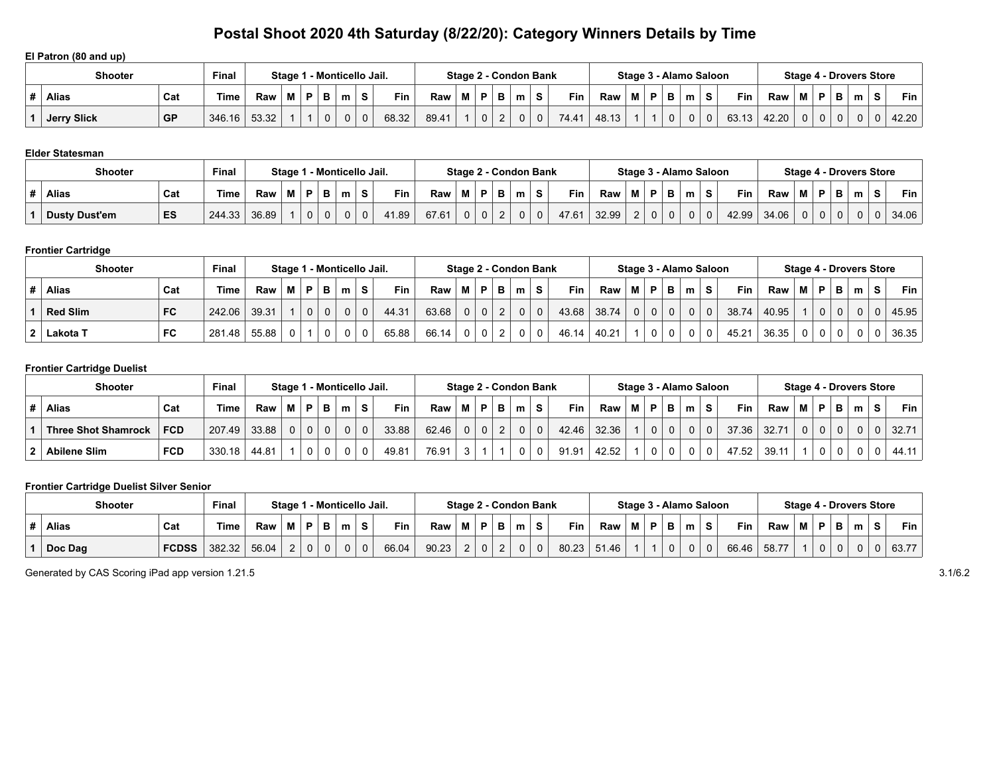### **El Patron (80 and up)**

|   | Shooter            |           | <b>Final</b> |       | Stage |              | - Monticello Jail. |   |       |       |   |   | Stage 2 - Condon Bank |    |            |       |   |  | Stage 3 - Alamo Saloon |    |            |       |   |     | Stage 4 - Drovers Store |   |       |
|---|--------------------|-----------|--------------|-------|-------|--------------|--------------------|---|-------|-------|---|---|-----------------------|----|------------|-------|---|--|------------------------|----|------------|-------|---|-----|-------------------------|---|-------|
| # | <b>Alias</b>       | Cat       | Time         | Raw   |       |              | m                  |   | Fin   | Raw   | M | D | m                     |    | <b>Fin</b> | Raw   | M |  | m                      | S. | <b>Fin</b> | Raw   | М | P I | m                       | s | Fin   |
|   | <b>Jerry Slick</b> | <b>GP</b> | 346.16       | 53.32 |       | $\mathbf{0}$ |                    | 0 | 68.32 | 89.41 |   |   |                       | 0. | 74.41      | 48.13 |   |  |                        |    | 63.13      | 42.20 |   | 0   | <sup>n</sup>            |   | 42.20 |

#### **Elder Statesman**

| <b>Shooter</b>       |     | <b>Final</b> |       |   |              |             | Stage 1 - Monticello Jail. |   |            |       |   |                |     | Stage 2 - Condon Bank |              |       |       |                |          |                | Stage 3 - Alamo Saloon |            |       |                |   |          | <b>Stage 4 - Drovers Store</b> |            |
|----------------------|-----|--------------|-------|---|--------------|-------------|----------------------------|---|------------|-------|---|----------------|-----|-----------------------|--------------|-------|-------|----------------|----------|----------------|------------------------|------------|-------|----------------|---|----------|--------------------------------|------------|
| Alias                | Cat | <b>Time</b>  | Raw   | M | . P '        | в           | m                          | S | <b>Fin</b> | Raw   | м | P.             | - 6 | m                     | S.           | Fin   | Raw   | M <sub>1</sub> | D        | в              | m                      | <b>Fin</b> | Raw   | M I            | D | в        | m                              | <b>Fin</b> |
| <b>Dusty Dust'em</b> | ES  | 244.33       | 36.89 |   | $\mathbf{0}$ | $\mathbf 0$ |                            | υ | 1.89       | 67.61 |   | $\overline{0}$ | 2   | 0                     | $\mathbf{0}$ | 47.61 | 32.99 | $\Omega$       | $\Omega$ | 0 <sup>1</sup> |                        | 42.99      | 34.06 | 0 <sup>1</sup> |   | $\Omega$ |                                | 34.06      |

## **Frontier Cartridge**

| <b>Shooter</b>  |           | <b>Final</b> |       |   |   |          | Stage 1 - Monticello Jail. |              |       |       |   |                |   |   | Stage 2 - Condon Bank |            |       |                |             |          | Stage 3 - Alamo Saloon |    |            |       |          |   |    |   | <b>Stage 4 - Drovers Store</b> |            |
|-----------------|-----------|--------------|-------|---|---|----------|----------------------------|--------------|-------|-------|---|----------------|---|---|-----------------------|------------|-------|----------------|-------------|----------|------------------------|----|------------|-------|----------|---|----|---|--------------------------------|------------|
| <b>Alias</b>    | Cat       | Time.        | Raw   | M | D | в        | m                          | S            | Fin   | Raw   | м | P              | в | m | s                     | <b>Fin</b> | Raw   | M              | P           | в        | m                      | S. | <b>Fin</b> | Raw   | M        | P | D. | m | S                              | <b>Fin</b> |
| <b>Red Slim</b> | <b>FC</b> | 242.06       | 39.31 |   |   | $\Omega$ |                            | $\mathbf{0}$ | 44.31 | 63.68 |   | $\overline{0}$ | ∠ |   |                       | 43.68      | 38.74 | 0 <sup>1</sup> | $\mathbf 0$ | $\Omega$ |                        |    | 38.74      | 40.95 |          | 0 |    |   |                                | 45.95      |
| Lakota T        | FC        | 281.48       | 55.88 |   |   |          |                            | $\mathbf 0$  | 65.88 | 66.14 |   | $\mathbf 0$    |   |   |                       | 46.14      | 40.21 |                |             |          |                        |    | 45.21      | 36.35 | $\Omega$ |   |    |   |                                | 36.35      |

## **Frontier Cartridge Duelist**

| <b>Shooter</b>             |            | <b>Final</b> |       |          |   |   | Stage 1 - Monticello Jail. |             |       |       |   |   |   |   | Stage 2 - Condon Bank |            |       |   |              |   | Stage 3 - Alamo Saloon |    |            |       |   |          |   | Stage 4 - Drovers Store |    |             |
|----------------------------|------------|--------------|-------|----------|---|---|----------------------------|-------------|-------|-------|---|---|---|---|-----------------------|------------|-------|---|--------------|---|------------------------|----|------------|-------|---|----------|---|-------------------------|----|-------------|
| <b>Alias</b>               | Cat        | <b>Time</b>  | Raw   |          | P | в | m                          | S.          | Fin   | Raw   | м | P | в | m | s                     | <b>Fin</b> | Raw   | м | P            | в | m                      | S. | <b>Fin</b> | Raw   | М | PI       | в | m                       | S. | Fin $\vert$ |
| <b>Three Shot Shamrock</b> | <b>FCD</b> | 207.49       | 33.88 | $\Omega$ | 0 |   |                            | $\mathbf 0$ | 33.88 | 62.46 |   | 0 |   |   | $\mathbf{0}$          | 42.46      | 32.36 |   | $\mathbf{0}$ |   | $\Omega$               |    | 37.36      | 32.71 | 0 | $\Omega$ |   |                         |    | 32.71       |
| <b>Abilene Slim</b>        | <b>FCD</b> | 330.18       | 44.81 |          |   |   |                            | 0           | 49.81 | 76.91 |   |   |   |   | 0                     | 91.91      | 42.52 |   | 0            |   |                        |    | 47.52      | 39.11 |   | 0        |   |                         |    | 44.11       |

#### **Frontier Cartridge Duelist Silver Senior**

| <b>Shooter</b> | <b>Final</b> |             | Staɑe 1 |          | 1 - Monticello Jail. |   |             |       |       |                    |                | Stage 2 - Condon Bank |             |       |       |   |   | Stage 3 - Alamo Saloon |  |       |       |   |    | Stage 4 - Drovers Store |   |            |
|----------------|--------------|-------------|---------|----------|----------------------|---|-------------|-------|-------|--------------------|----------------|-----------------------|-------------|-------|-------|---|---|------------------------|--|-------|-------|---|----|-------------------------|---|------------|
| <b>Alias</b>   | Cat          | <b>Time</b> | Raw     | M        |                      | m | s           | Fin   | Raw   | М                  | D.             | m                     | s           | Fin   | Raw   | Þ | в | m                      |  | Fin   | Raw   | M | в. | в                       | m | <b>Fin</b> |
| Doc Dag        | <b>FCDSS</b> | 382.32      | 56.04   | <u>_</u> | $\Omega$             |   | $\mathbf 0$ | 66.04 | 90.23 | $\sim$<br><u>.</u> | $\overline{0}$ | $\Omega$              | $\sim$<br>v | 80.23 | 51.46 |   |   |                        |  | 66.46 | 58.77 |   |    | $\Omega$                |   | 63.77      |

Generated by CAS Scoring iPad app version 1.21.5 3.1/6.2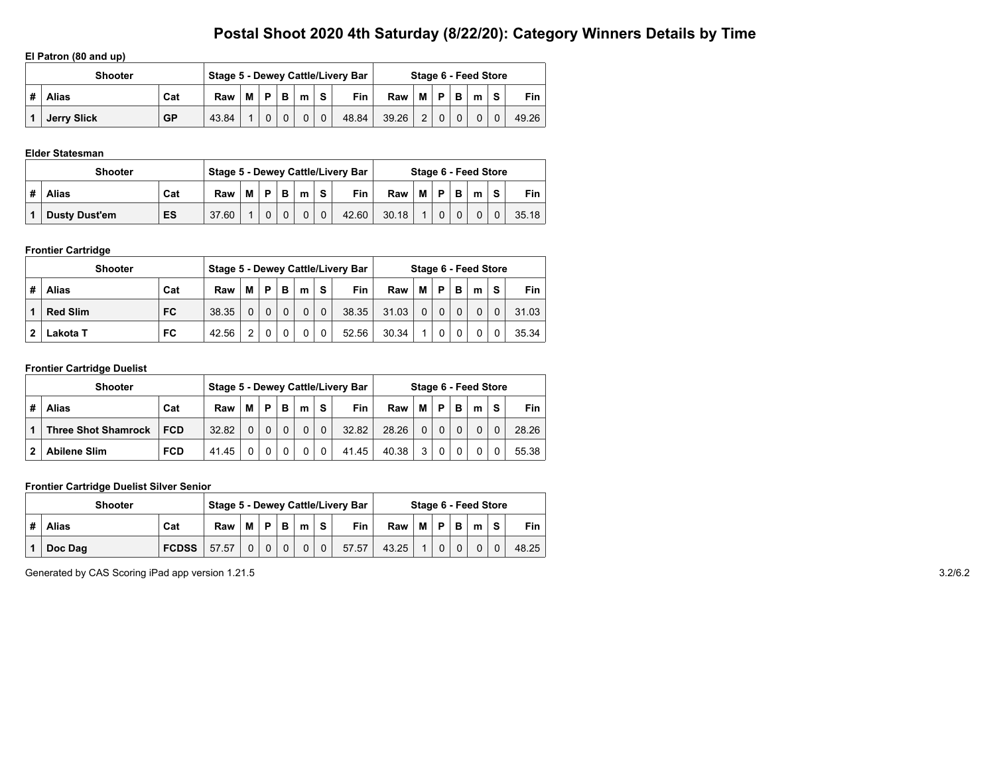## **El Patron (80 and up)**

|   | <b>Shooter</b>     |           |       |   |          |          |   |             | Stage 5 - Dewey Cattle/Livery Bar |       |     |          |          | Stage 6 - Feed Store |   |       |
|---|--------------------|-----------|-------|---|----------|----------|---|-------------|-----------------------------------|-------|-----|----------|----------|----------------------|---|-------|
| # | <b>Alias</b>       | Cat       | Raw   | М | D        | в        | m | S.          | <b>Fin</b>                        | Raw   | M I | <b>P</b> | в        | m                    | S | Fin   |
|   | <b>Jerry Slick</b> | <b>GP</b> | 43.84 |   | $\Omega$ | $\Omega$ |   | $\mathbf 0$ | 48.84                             | 39.26 | 2   |          | $\Omega$ |                      |   | 49.26 |

#### **Elder Statesman**

| <b>Shooter</b>             |       |   |   |   |   |          | Stage 5 - Dewey Cattle/Livery Bar |       |   |   |   | Stage 6 - Feed Store |   |            |
|----------------------------|-------|---|---|---|---|----------|-----------------------------------|-------|---|---|---|----------------------|---|------------|
| #<br><b>Alias</b><br>Cat   | Raw   | М | D | B | m | c        | Fin                               | Raw   | М | D | B | m                    | S | <b>Fin</b> |
| ES<br><b>Dusty Dust'em</b> | 37.60 |   |   |   |   | $\Omega$ | 42.60                             | 30.18 |   |   |   |                      |   | 35.18      |

## **Frontier Cartridge**

|   | <b>Shooter</b>  |           |       |          |          |          |          |          | Stage 5 - Dewey Cattle/Livery Bar |       |          |   |          | Stage 6 - Feed Store |          |       |
|---|-----------------|-----------|-------|----------|----------|----------|----------|----------|-----------------------------------|-------|----------|---|----------|----------------------|----------|-------|
| # | <b>Alias</b>    | Cat       | Raw   | М        | <b>D</b> | в        | m        | S.       | Fin                               | Raw   | М        | P | B        | m                    | <b>s</b> | Fin   |
|   | <b>Red Slim</b> | <b>FC</b> | 38.35 | $\Omega$ | $\Omega$ | $\Omega$ | $\Omega$ | $\Omega$ | 38.35                             | 31.03 | $\Omega$ |   | $\Omega$ | 0                    |          | 31.03 |
|   | Lakota T        | FC        | 42.56 | 2        |          |          |          | 0        | 52.56                             | 30.34 |          |   | 0        | 0                    |          | 35.34 |

#### **Frontier Cartridge Duelist**

|   | <b>Shooter</b>             |            |       |   |   |   |          |          | Stage 5 - Dewey Cattle/Livery Bar |       |          |   |   | Stage 6 - Feed Store |   |            |
|---|----------------------------|------------|-------|---|---|---|----------|----------|-----------------------------------|-------|----------|---|---|----------------------|---|------------|
| # | <b>Alias</b>               | Cat        | Raw   | М | P | в | m        | S.       | <b>Fin</b>                        | Raw   | м        | P | B | m                    | s | <b>Fin</b> |
|   | <b>Three Shot Shamrock</b> | <b>FCD</b> | 32.82 |   |   |   | $\Omega$ | $\Omega$ | 32.82                             | 28.26 | $\Omega$ |   |   | $\Omega$             |   | 28.26      |
|   | <b>Abilene Slim</b>        | <b>FCD</b> | 4145  |   |   |   | 0        |          | 41.45                             | 40.38 | 3        |   |   |                      |   | 55.38      |

#### **Frontier Cartridge Duelist Silver Senior**

|   | <b>Shooter</b> |              |       |   |          |          |          |                | Stage 5 - Dewey Cattle/Livery Bar |       |           |  | Stage 6 - Feed Store |   |       |
|---|----------------|--------------|-------|---|----------|----------|----------|----------------|-----------------------------------|-------|-----------|--|----------------------|---|-------|
| # | <b>Alias</b>   | Cat          | Raw   | M | P.       | B        | m        | $\epsilon$     | <b>Fin</b>                        | Raw   | $M$ P $B$ |  | m                    | S | Fin   |
|   | Doc Dag        | <b>FCDSS</b> | 57.57 | 0 | $\Omega$ | $\Omega$ | $\Omega$ | 0 <sup>1</sup> | 57.57                             | 43.25 |           |  |                      |   | 48.25 |

Generated by CAS Scoring iPad app version 1.21.5 3.2/6.2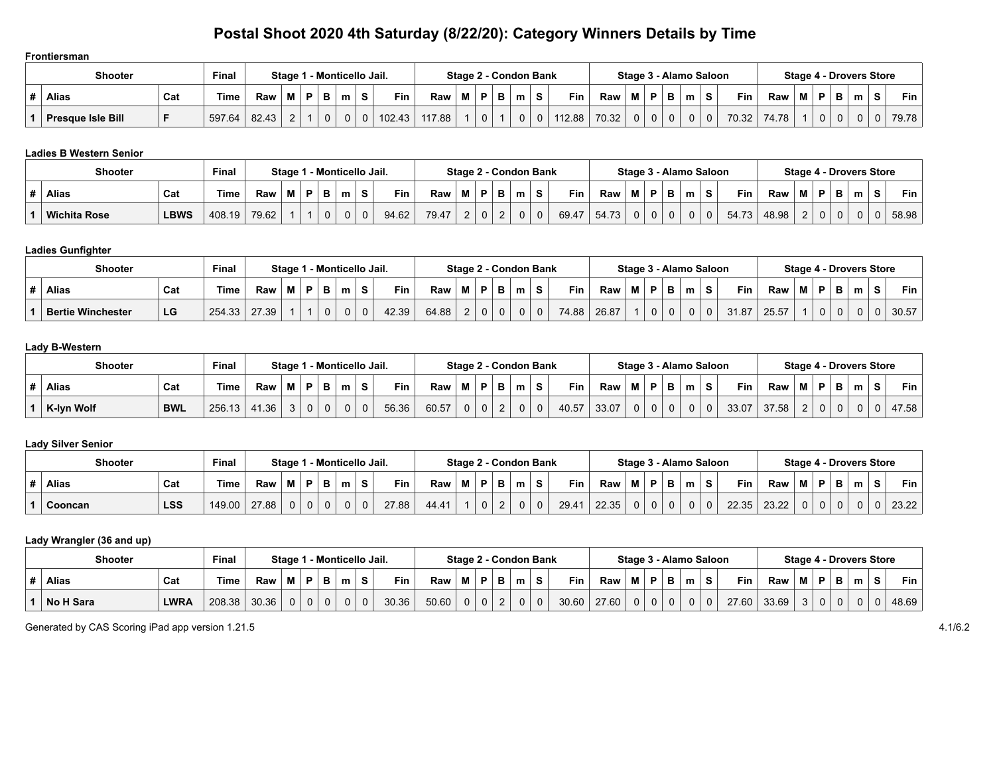#### **Frontiersman**

|   | <b>Shooter</b>           | <b>Final</b> |        | Stage |  |   |   | - Monticello Jail. |        |        |   | Stage 2 - Condon Bank |   |        |       |   |              | Stage 3 - Alamo Saloon |   |   |       |       |   | Stage 4 - Drovers Store |   |   |             |
|---|--------------------------|--------------|--------|-------|--|---|---|--------------------|--------|--------|---|-----------------------|---|--------|-------|---|--------------|------------------------|---|---|-------|-------|---|-------------------------|---|---|-------------|
| # | <b>Alias</b>             | Cat          | Time   | Raw   |  | D |   | m                  | Fin    | Raw    | M | в.                    | m | Fin    | Raw   | м | в.           |                        | m | s | Fin   | Raw   | M | в.                      | m | s | Fin $\vert$ |
|   | <b>Presque Isle Bill</b> |              | 597.64 | 82.43 |  |   | υ |                    | 102.43 | 117.88 |   |                       |   | 112.88 | 70.32 |   | $\mathbf{0}$ | 0                      |   | 0 | 70.32 | 74.78 |   | 0                       |   |   | 79.78       |

## **Ladies B Western Senior**

| <b>Shooter</b>      |             | <b>Final</b> |       | Stage 1 |  | 1 - Monticello Jail. |   |       |       |          | Stage 2 - Condon Bank |          |   |       |       |   |          |         |   | Stage 3 - Alamo Saloon |       |       |          |   | <b>Stage 4 - Drovers Store</b> |            |
|---------------------|-------------|--------------|-------|---------|--|----------------------|---|-------|-------|----------|-----------------------|----------|---|-------|-------|---|----------|---------|---|------------------------|-------|-------|----------|---|--------------------------------|------------|
| Alias               | Cat         | ™e           | Raw   | M       |  | m                    | s | Fin   | Raw   | Þ        |                       | m        | s | Fin   | Raw   |   | Þ        | D.<br>D | m |                        | Fin   | Raw   | Ð        | P | m                              | <b>Fin</b> |
| <b>Wichita Rose</b> | <b>LBWS</b> | 408.19       | 79.62 |         |  |                      | 0 | 94.62 | 79.47 | $\Omega$ |                       | $\Omega$ | 0 | 69.47 | 54.73 | 0 | $\Omega$ |         |   |                        | 54.73 | 48.98 | $\Omega$ |   |                                | 58.98      |

## **Ladies Gunfighter**

| <b>Shooter</b>           | Final |        |       |   |  |   | Stage 1 - Monticello Jail. |       | Stage 2 - Condon Bank |  |             |                |   |              |       |       |   | Stage 3 - Alamo Saloon |   |            |       |   |   |          | <b>Stage 4 - Drovers Store</b> |  |       |
|--------------------------|-------|--------|-------|---|--|---|----------------------------|-------|-----------------------|--|-------------|----------------|---|--------------|-------|-------|---|------------------------|---|------------|-------|---|---|----------|--------------------------------|--|-------|
| Alias                    | Cat   | Time   | Raw   | M |  | m | s                          | Fin   | Raw                   |  | P.          |                | m | s            | Fin   | Raw   | в | - 6<br>D               | m | <b>Fin</b> | Raw   | М | Ð | в.       | m                              |  | Fin   |
| <b>Bertie Winchester</b> | LG    | 254.33 | 27.39 |   |  | υ | 0                          | 42.39 | 64.88                 |  | $\mathbf 0$ | $\overline{0}$ | 0 | $\mathbf{0}$ | 74.88 | 26.87 | 0 | 0                      |   | 31.87      | 25.57 |   |   | $\Omega$ |                                |  | 30.57 |

## **Lady B-Western**

| <b>Shooter</b> |            | <b>Final</b> |       | Staɑe 1 |   |   |             | 1 - Monticello Jail. |       |  |   | Stage 2 - Condon Bank |   |            |       |             | Stage 3 - Alamo Saloon |   |            |       |          |    |   | Stage 4 - Drovers Store |   |       |
|----------------|------------|--------------|-------|---------|---|---|-------------|----------------------|-------|--|---|-----------------------|---|------------|-------|-------------|------------------------|---|------------|-------|----------|----|---|-------------------------|---|-------|
| <b>Alias</b>   | Cat        | <b>Time</b>  | Raw   |         | в | m | S           | <b>Fin</b>           | Raw   |  | - | m                     | s | <b>Fin</b> | Raw   | D.          | m                      | s | <b>Fin</b> | Raw   |          | D. |   | m                       | s | Fin   |
| K-Iyn Wolf     | <b>BWL</b> | 256.13       | 41.36 |         |   | u | $\mathbf 0$ | 56.36                | 60.57 |  |   |                       | 0 | 40.57      | 33.07 | $\mathbf 0$ | 0                      | 0 | 33.07      | 37.58 | <u>.</u> | 0  | U |                         |   | 47.58 |

#### **Lady Silver Senior**

| <b>Shooter</b> |            | <b>Final</b> |       |   |   |   | Stage 1 - Monticello Jail. |   |            |       |   |             |   | Stage 2 - Condon Bank |       |       |   |    | Stage 3 - Alamo Saloon |          |       |       |   |   |   |   | <b>Stage 4 - Drovers Store</b> |       |
|----------------|------------|--------------|-------|---|---|---|----------------------------|---|------------|-------|---|-------------|---|-----------------------|-------|-------|---|----|------------------------|----------|-------|-------|---|---|---|---|--------------------------------|-------|
| <b>Alias</b>   | Cat        | Time         | Raw   | М |   | в | m                          | s | <b>Fin</b> | Raw   | М | D.          | m | S.                    | Fin   | Raw   | M | P. | m                      |          | Fin   | Raw   | M | P |   | m | s                              | Fin   |
| Cooncan        | <b>LSS</b> | 149.00       | 27.88 | 0 | 0 |   |                            | 0 | 27.88      | 44.41 |   | $\mathbf 0$ |   |                       | 29.41 | 22.35 |   |    |                        | $\Omega$ | 22.35 | 23.22 |   | 0 | v |   | 0                              | 23.22 |

## **Lady Wrangler (36 and up)**

| <b>Shooter</b>   |             | <b>Final</b> |       |                | Stage 1 - Monticello Jail. |   |       |       |   |          | Stage 2 - Condon Bank |                |            |       |   |          |   | Stage 3 - Alamo Saloon |    |       |       |   |          | Stage 4 - Drovers Store |   |            |
|------------------|-------------|--------------|-------|----------------|----------------------------|---|-------|-------|---|----------|-----------------------|----------------|------------|-------|---|----------|---|------------------------|----|-------|-------|---|----------|-------------------------|---|------------|
| <b>Alias</b>     | Cat         | <b>Time</b>  | Raw   | M I            | P.                         | m | Fin   | Raw   | M | P.       | m                     |                | <b>Fin</b> | Raw   | M | D        | в | m                      | S. | Fin   | Raw   | м | P.       | m                       | e | <b>Fin</b> |
| <b>No H Sara</b> | <b>LWRA</b> | 208.38       | 30.36 | 0 <sup>1</sup> |                            |   | 30.36 | 50.60 |   | $\Omega$ | 0                     | 0 <sup>1</sup> | 30.60      | 27.60 |   | $\Omega$ |   | $\Omega$               |    | 27.60 | 33.69 |   | $\Omega$ |                         |   | 48.69      |

Generated by CAS Scoring iPad app version 1.21.5 4.1/6.2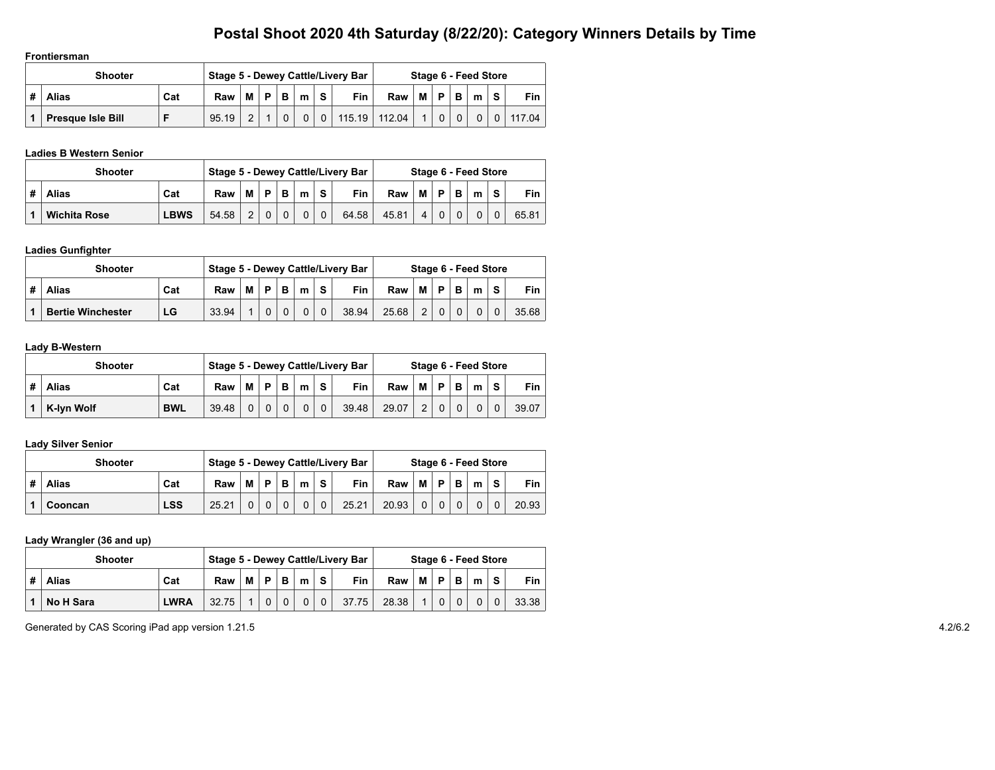**Frontiersman**

| <b>Shooter</b>           |     |       |   |   |   |   |    | Stage 5 - Dewey Cattle/Livery Bar |     |           |                |   | Stage 6 - Feed Store |          |                 |
|--------------------------|-----|-------|---|---|---|---|----|-----------------------------------|-----|-----------|----------------|---|----------------------|----------|-----------------|
| <b>Alias</b>             | Cat | Raw   | М | D | в | m | S. | <b>Fin</b>                        | Raw | <b>MP</b> |                | B | m                    | <b>S</b> | <b>Fin</b>      |
| <b>Presque Isle Bill</b> | Е   | 95.19 |   |   |   |   |    | $ 0 $ 115.19 112.04               |     |           | $\overline{0}$ |   | 0 <sup>1</sup>       |          | $0 \mid 117.04$ |

### **Ladies B Western Senior**

|   | <b>Shooter</b>      |             |       |   |   |   |   |          | Stage 5 - Dewey Cattle/Livery Bar |       |   |   |   | Stage 6 - Feed Store |   |       |
|---|---------------------|-------------|-------|---|---|---|---|----------|-----------------------------------|-------|---|---|---|----------------------|---|-------|
| # | <b>Alias</b>        | Cat         | Raw   | M | D | B | m | S        | Fin                               | Raw   | м | P | B | m                    | S | Fin   |
|   | <b>Wichita Rose</b> | <b>LBWS</b> | 54.58 |   |   |   |   | $\Omega$ | 64.58                             | 45.81 | 4 |   |   |                      |   | 65.81 |

## **Ladies Gunfighter**

| <b>Shooter</b>           |     |       |   |    |    |          |            | Stage 5 - Dewey Cattle/Livery Bar |       |               |   |   | Stage 6 - Feed Store |   |       |
|--------------------------|-----|-------|---|----|----|----------|------------|-----------------------------------|-------|---------------|---|---|----------------------|---|-------|
| <b>Alias</b>             | Cat | Raw   | M | D. | B. | m        | $\epsilon$ | <b>Fin</b>                        | Raw   | М             | P | B | m                    | S | Fin   |
| <b>Bertie Winchester</b> | LG  | 33.94 |   | 0  |    | $\Omega$ |            | 38.94                             | 25.68 | $\mathcal{P}$ |   |   |                      |   | 35.68 |

## **Lady B-Western**

| <b>Shooter</b> |            |       |          |          |          |          |                | Stage 5 - Dewey Cattle/Livery Bar |       |   |          |   | Stage 6 - Feed Store |          |       |
|----------------|------------|-------|----------|----------|----------|----------|----------------|-----------------------------------|-------|---|----------|---|----------------------|----------|-------|
| Alias          | Cat        | Raw   | м        | D.       | в        | m        | $\epsilon$     | <b>Fin</b>                        | Raw   | м | P        | в | m                    | <b>s</b> | Fin   |
| K-Ivn Wolf     | <b>BWL</b> | 39.48 | $\Omega$ | $\Omega$ | $\Omega$ | $\Omega$ | $\overline{0}$ | 39.48                             | 29.07 | 2 | $\Omega$ |   | 0                    |          | 39.07 |

#### **Lady Silver Senior**

|   | <b>Shooter</b> |            |       |   |    |   |          |            | Stage 5 - Dewey Cattle/Livery Bar |       |          |   |   | Stage 6 - Feed Store |   |       |
|---|----------------|------------|-------|---|----|---|----------|------------|-----------------------------------|-------|----------|---|---|----------------------|---|-------|
| # | <b>Alias</b>   | Cat        | Raw   | м | D. | в | m        | $\epsilon$ | <b>Fin</b>                        | Raw   | M        | D | в | m                    | S | Fin   |
|   | Cooncan        | <b>LSS</b> | 25.21 |   |    |   | $\Omega$ | $\Omega$   | 25.21                             | 20.93 | $\Omega$ |   |   | O.                   |   | 20.93 |

## **Lady Wrangler (36 and up)**

|   | <b>Shooter</b>   |             |       |   |          |   |          |          | Stage 5 - Dewey Cattle/Livery Bar |       |   |   |   | Stage 6 - Feed Store |          |       |
|---|------------------|-------------|-------|---|----------|---|----------|----------|-----------------------------------|-------|---|---|---|----------------------|----------|-------|
| # | <b>Alias</b>     | Cat         | Raw   | M | D        | B | m        | S.       | Fin                               | Raw   | M | P | B | m                    | <b>s</b> | Fin   |
|   | <b>No H Sara</b> | <b>LWRA</b> | 32.75 |   | $\Omega$ |   | $\Omega$ | $\Omega$ | 37.75                             | 28.38 |   |   |   |                      |          | 33.38 |

Generated by CAS Scoring iPad app version 1.21.5 4.2/6.2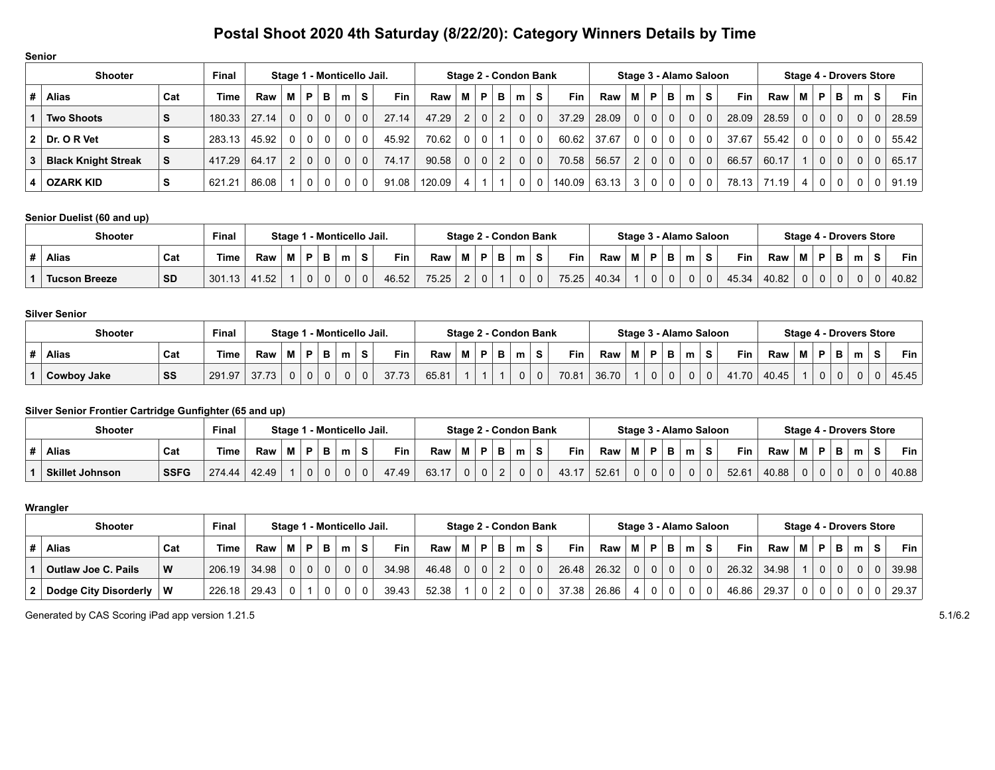| <b>Senior</b>              |                            |        |                       |          |   |          |   |             |            |        |                |              |                |                        |              |            |       |                |                |                                |              |                |            |       |             |                |          |                |          |       |
|----------------------------|----------------------------|--------|-----------------------|----------|---|----------|---|-------------|------------|--------|----------------|--------------|----------------|------------------------|--------------|------------|-------|----------------|----------------|--------------------------------|--------------|----------------|------------|-------|-------------|----------------|----------|----------------|----------|-------|
| <b>Shooter</b>             | Stage 1 - Monticello Jail. |        | Stage 2 - Condon Bank |          |   |          |   |             |            |        |                |              |                | Stage 3 - Alamo Saloon |              |            |       |                |                | <b>Stage 4 - Drovers Store</b> |              |                |            |       |             |                |          |                |          |       |
| Alias                      | Cat                        | Time   | Raw                   | м        | P | в        | m | S.          | <b>Fin</b> | Raw    | м              | P            | в              | m                      | S.           | <b>Fin</b> | Raw   | м              | P              | в                              | m            | S.             | <b>Fin</b> | Raw   | м           | P              | в        | m              | S.       | Fin   |
| <b>Two Shoots</b>          | S                          | 180.33 | 27.14                 | $\Omega$ | 0 | $\Omega$ | 0 | $\Omega$    | 27.14      | 47.29  | 2 <sup>1</sup> | $\mathbf{0}$ | $\overline{2}$ | $\mathbf{0}$           | $\Omega$     | 37.29      | 28.09 | $\Omega$       | $\overline{0}$ | $\mathbf{0}$                   | $\mathbf{0}$ | 0 <sup>1</sup> | 28.09      | 28.59 | $\Omega$    | $\Omega$       | $\Omega$ | $\overline{0}$ | $\Omega$ | 28.59 |
| $2  $ Dr. O R Vet          | S                          | 283.13 | 45.92                 | $\Omega$ | 0 | $\Omega$ | 0 | $\mathbf 0$ | 45.92      | 70.62  | 0              | $\Omega$     |                | 0                      | $\mathbf 0$  | 60.62      | 37.67 | $\Omega$       | $\mathbf 0$    | $\mathbf 0$                    | $\Omega$     | $\Omega$       | 37.67      | 55.42 | $\mathbf 0$ | $\mathbf{0}$   | 0        | $\Omega$       | $\Omega$ | 55.42 |
| <b>Black Knight Streak</b> | S                          | 417.29 | 64.17                 | 2        |   | $\Omega$ | 0 | $\Omega$    | 74.17      | 90.58  | 0              | $\Omega$     | $\overline{2}$ | $\Omega$               | $\mathbf{0}$ | 70.58      | 56.57 | $\overline{2}$ | $\overline{0}$ | $\mathbf 0$                    | $\Omega$     | $\Omega$       | 66.57      | 60.17 |             | $\mathbf 0$    | $\Omega$ | $\mathbf{0}$   | $\Omega$ | 65.17 |
| OZARK KID                  | S                          | 621.21 | 86.08                 |          |   | $\Omega$ | 0 | 0           | 91.08      | 120.09 |                |              |                | $\mathbf{0}$           | $\mathbf 0$  | 140.09     | 63.13 | 3              | $\mathbf 0$    | $\mathbf 0$                    | $\Omega$     | 0 <sup>1</sup> | 78.13      | 71.19 | 4           | $\overline{0}$ | 0        | $\Omega$       | $\Omega$ | 91.19 |

## **Senior Duelist (60 and up)**

| <b>Shooter</b>       |           | Final  |       | Staɑe 1 |   | 1 - Monticello Jail. |   |       |       |   |    | Stage 2 - Condon Bank |              |       |       |   |   |             |   | Stage 3 - Alamo Saloon |       |       |   |             |             |   | <b>Stage 4 - Drovers Store</b> |            |
|----------------------|-----------|--------|-------|---------|---|----------------------|---|-------|-------|---|----|-----------------------|--------------|-------|-------|---|---|-------------|---|------------------------|-------|-------|---|-------------|-------------|---|--------------------------------|------------|
| Alias                | Cat       | Time   | Raw   | М       |   | m                    | s | Fin   | Raw   | M | в. | m                     | s            | Fin   | Raw   | М | P |             | m | S.                     | Fin   | Raw   | М | P           | - -<br>P    | m | s                              | <b>Fin</b> |
| <b>Tucson Breeze</b> | <b>SD</b> | 301.13 | 41.52 |         | 0 |                      | 0 | 46.52 | 75.25 |   |    |                       | $\mathbf{0}$ | 75.25 | 40.34 |   | 0 | $\mathbf 0$ |   | $\Omega$               | 45.34 | 40.82 |   | $\mathbf 0$ | $\mathbf 0$ |   | 0                              | 40.82      |

#### **Silver Senior**

| <b>Shooter</b> |     | <b>Final</b> |       | Stage 1 |  | l - Monticello Jail. |   |            |       | Stage 2 - Condon Bank |    |   |   |       |       |   |             |   | Stage 3 - Alamo Saloon |   |      |       |     |             |        |   | <b>Stage 4 - Drovers Store</b> |       |
|----------------|-----|--------------|-------|---------|--|----------------------|---|------------|-------|-----------------------|----|---|---|-------|-------|---|-------------|---|------------------------|---|------|-------|-----|-------------|--------|---|--------------------------------|-------|
| <b>Alias</b>   | Cat | 'ime         | Raw   | M       |  | $\sim$               | s | <b>Fin</b> | Raw   | М                     | в. | m | s | Fin   | Raw   | м | Þ           | P | m                      | s | Fin  | Raw   | IVI | Þ           | Р<br>D | m | e                              | Fin   |
| Cowboy Jake    | SS  | 291.97       | 37.73 | 0       |  |                      | 0 | 37.        | 65.81 |                       |    |   | v | 70.81 | 36.70 |   | $\sim$<br>ν |   |                        |   | 1.70 | 40.45 |     | $\mathbf 0$ |        |   |                                | 45.45 |

## **Silver Senior Frontier Cartridge Gunfighter (65 and up)**

| <b>Shooter</b>         |             | <b>Final</b> |       | Staɑe 1 |   | 1 - Monticello Jail. |              |            |       |   |    | Stage 2 - Condon Bank |              |       |       |   |   | Stage 3 - Alamo Saloon |   |          |       |       |   |   |    | <b>Stage 4 - Drovers Store</b> |   |       |
|------------------------|-------------|--------------|-------|---------|---|----------------------|--------------|------------|-------|---|----|-----------------------|--------------|-------|-------|---|---|------------------------|---|----------|-------|-------|---|---|----|--------------------------------|---|-------|
| <b>Alias</b>           | Cat         | <b>Time</b>  | Raw   |         | Ð | m                    | s            | <b>Fin</b> | Raw   | M | в. | m                     | <b>S</b>     | Fin   | Raw   | м | P |                        | m |          | Fin   | Raw   | м | P |    | m                              | P | Fin.  |
| <b>Skillet Johnson</b> | <b>SSFG</b> | 274.44       | 42.49 |         |   |                      | $\mathbf{0}$ | 47.49      | 63.17 |   |    |                       | $\mathbf{0}$ | 13 17 | 52.61 | ັ |   |                        |   | $\Omega$ | 52.61 | 40.88 | 0 |   | O. |                                |   | 40.88 |

#### **Wrangler**

| <b>Shooter</b>             |     | Final       |       |          |                |   | Stage 1 - Monticello Jail. |            |                                |              |   | Stage 2 - Condon Bank |          |            |       |                |                |                | Stage 3 - Alamo Saloon |                |            |       | Stage 4 - Drovers Store |              |             |   |                |       |
|----------------------------|-----|-------------|-------|----------|----------------|---|----------------------------|------------|--------------------------------|--------------|---|-----------------------|----------|------------|-------|----------------|----------------|----------------|------------------------|----------------|------------|-------|-------------------------|--------------|-------------|---|----------------|-------|
| <b>Alias</b>               | Cat | <b>Time</b> | Raw   | M        | P.             | в | $m_{\theta}$               | <b>Fin</b> | $\mathsf{Raw} \mid \mathsf{M}$ | P.           | в | m                     | s        | <b>Fin</b> | Raw   |                | . M   P        | в.             | m                      | S.             | <b>Fin</b> | Raw   | м                       | <b>P</b>     | в.          | m | S.             | Fin   |
| <b>Outlaw Joe C. Pails</b> | W   | 206.19      | 34.98 | $\Omega$ | 0 <sup>1</sup> |   |                            | 34.98      | 46.48                          | $\Omega$     |   | $\mathbf{0}$          | $\Omega$ | 26.48      | 26.32 | 0 <sup>1</sup> | $\overline{0}$ | 0 <sup>1</sup> | $\Omega$               | 0 <sup>1</sup> | 26.32      | 34.98 |                         | $\mathbf{0}$ | $\mathbf 0$ |   | 0 <sup>1</sup> | 39.98 |
| Dodge City Disorderly      | W   | 226.18      | 29.43 |          |                |   |                            | 39.43      | 52.38                          | $\mathbf{0}$ |   | $\Omega$              | 0        | 37.38      | 26.86 |                | $\mathbf 0$    | $\mathbf 0$    |                        | 0 <sup>1</sup> | 46.86      | 29.37 |                         | $\Omega$     |             |   | 0 <sup>1</sup> | 29.37 |

Generated by CAS Scoring iPad app version 1.21.5 5.1/6.2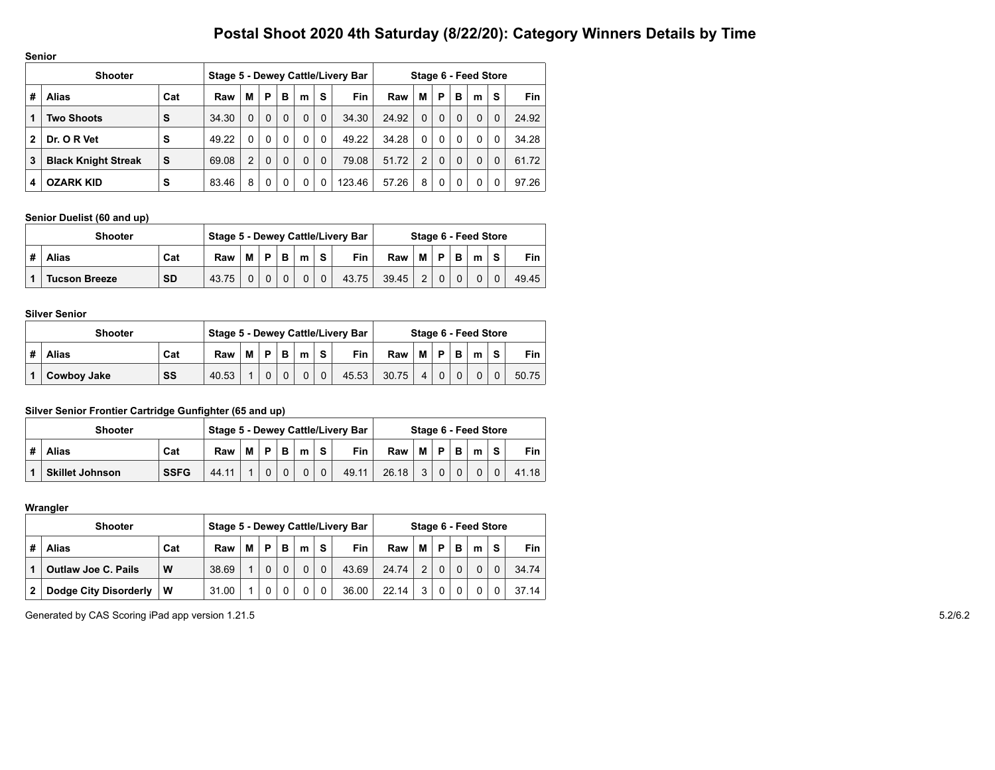|   | <b>Senior</b>              |     |       |   |          |          |              |          |                                   |       |              |              |              |                      |          |       |
|---|----------------------------|-----|-------|---|----------|----------|--------------|----------|-----------------------------------|-------|--------------|--------------|--------------|----------------------|----------|-------|
|   | <b>Shooter</b>             |     |       |   |          |          |              |          | Stage 5 - Dewey Cattle/Livery Bar |       |              |              |              | Stage 6 - Feed Store |          |       |
| # | <b>Alias</b>               | Cat | Raw   | М | P        | в        | m            | S        | <b>Fin</b>                        | Raw   | М            | P            | в            | m                    | S        | Fin.  |
| 1 | <b>Two Shoots</b>          | S   | 34.30 | 0 | $\Omega$ | $\Omega$ | $\Omega$     | $\Omega$ | 34.30                             | 24.92 | $\Omega$     | $\Omega$     | $\Omega$     | $\Omega$             | $\Omega$ | 24.92 |
| 2 | Dr. O R Vet                | S   | 49.22 | 0 | $\Omega$ | $\Omega$ | $\mathbf{0}$ | $\Omega$ | 49.22                             | 34.28 | $\mathbf{0}$ | $\mathbf{0}$ | $\mathbf{0}$ | 0                    | $\Omega$ | 34.28 |
| 3 | <b>Black Knight Streak</b> | S   | 69.08 | 2 | $\Omega$ | $\Omega$ | $\Omega$     | $\Omega$ | 79.08                             | 51.72 | 2            | $\Omega$     | $\Omega$     | $\Omega$             | $\Omega$ | 61.72 |
| 4 | <b>OZARK KID</b>           | S   | 83.46 | 8 | 0        | 0        | 0            | 0        | 123.46                            | 57.26 | 8            | $\Omega$     | 0            | 0                    | 0        | 97.26 |

#### **Senior Duelist (60 and up)**

| <b>Shooter</b>                    |       |   |          |   |   |   | Stage 5 - Dewey Cattle/Livery Bar |       |                |          |   | Stage 6 - Feed Store |          |       |
|-----------------------------------|-------|---|----------|---|---|---|-----------------------------------|-------|----------------|----------|---|----------------------|----------|-------|
| <b>Alias</b><br>Cat               | Raw   | M | D        | B | m | s | <b>Fin</b>                        | Raw   | М              | <b>D</b> | B | m                    | -S       | Fin   |
| <b>SD</b><br><b>Tucson Breeze</b> | 43.75 |   | $\Omega$ |   |   |   | 43.75                             | 39.45 | $\overline{2}$ |          |   |                      | $\Omega$ | 49.45 |

#### **Silver Senior**

| <b>Shooter</b> |     |       |   |          |          |   |            | Stage 5 - Dewey Cattle/Livery Bar |       |                |            | Stage 6 - Feed Store |   |       |
|----------------|-----|-------|---|----------|----------|---|------------|-----------------------------------|-------|----------------|------------|----------------------|---|-------|
| <b>Alias</b>   | Cat | Raw   | м | <b>D</b> | в        | m | $\epsilon$ | <b>Fin</b>                        | Raw   | `MI⊺           | $P \mid B$ | m                    | S | Fin   |
| Cowboy Jake    | SS  | 40.53 |   | $\Omega$ | $\Omega$ |   | $\Omega$   | 45.53                             | 30.75 | $\overline{4}$ |            | $\Omega$             |   | 50.75 |

## **Silver Senior Frontier Cartridge Gunfighter (65 and up)**

|   | <b>Shooter</b>         |             |       |   |    |   |   |            | Stage 5 - Dewey Cattle/Livery Bar |       |   |   |   | Stage 6 - Feed Store |          |       |
|---|------------------------|-------------|-------|---|----|---|---|------------|-----------------------------------|-------|---|---|---|----------------------|----------|-------|
| # | Alias                  | Cat         | Raw   | М | D. | в | m | $\epsilon$ | <b>Fin</b>                        | Raw   | м | Ð | в | m                    | <b>s</b> | Fin   |
|   | <b>Skillet Johnson</b> | <b>SSFG</b> | 44.11 |   |    |   |   |            | 49.11                             | 26.18 | 3 |   |   |                      |          | 41.18 |

#### **Wrangler**

|                | <b>Shooter</b>               |     |       |   |   |   |          |   | Stage 5 - Dewey Cattle/Livery Bar |       |                |   |   | Stage 6 - Feed Store |   |       |
|----------------|------------------------------|-----|-------|---|---|---|----------|---|-----------------------------------|-------|----------------|---|---|----------------------|---|-------|
| #              | <b>Alias</b>                 | Cat | Raw   | М | P | в | m        | s | <b>Fin</b>                        | Raw   | м              | P | в | m                    | S | Fin   |
|                | <b>Outlaw Joe C. Pails</b>   | W   | 38.69 |   |   |   | $\Omega$ |   | 43.69                             | 24.74 | $\mathfrak{p}$ |   |   | 0                    |   | 34.74 |
| $\overline{2}$ | <b>Dodge City Disorderly</b> | . W | 31.00 |   |   |   |          |   | 36.00                             | 22.14 | 3              |   |   | 0                    |   | 37.14 |

Generated by CAS Scoring iPad app version 1.21.5 5.2/6.2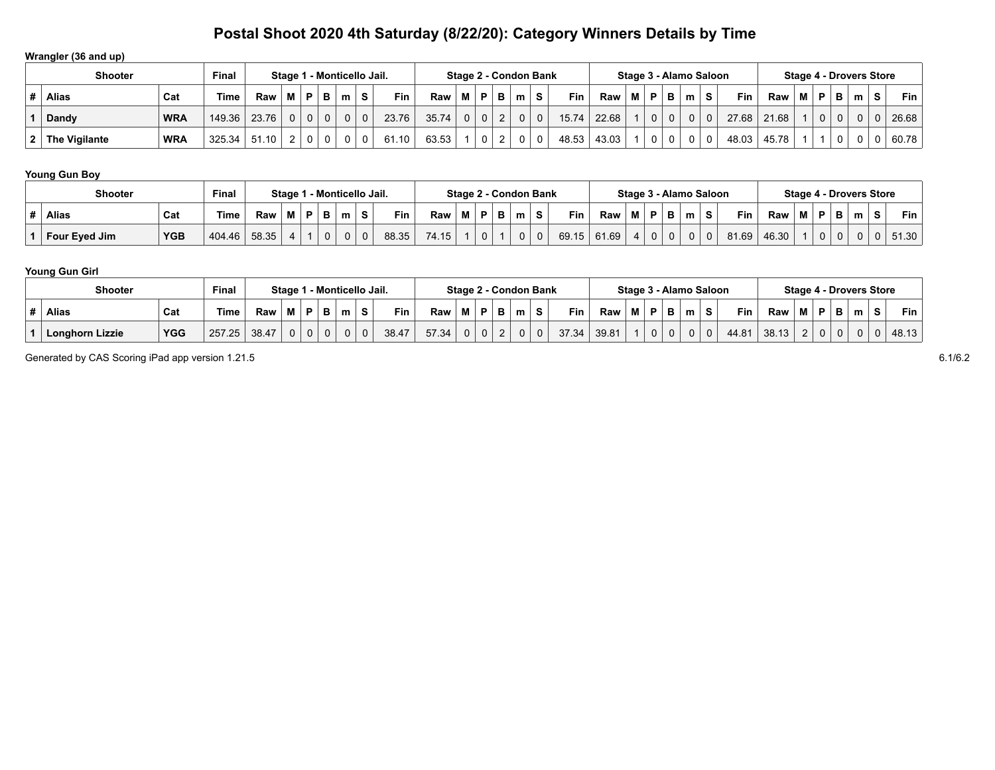## **Wrangler (36 and up)**

|   | <b>Shooter</b>  |            | Final       |            |          |   |          | Stage 1 - Monticello Jail. |          |            |       |   |   |   | Stage 2 - Condon Bank |    |       |       |   |             |   | Stage 3 - Alamo Saloon |   |       |       |   |                |          |   | Stage 4 - Drovers Store |       |
|---|-----------------|------------|-------------|------------|----------|---|----------|----------------------------|----------|------------|-------|---|---|---|-----------------------|----|-------|-------|---|-------------|---|------------------------|---|-------|-------|---|----------------|----------|---|-------------------------|-------|
| # | Alias           | Cat        | <b>Time</b> | Raw        |          | Ð |          | m                          | S.       | <b>Fin</b> | Raw   | м | P | в | m <sub>1</sub>        | -S | Fin   | Raw   | м | P I         | в | . m '                  | s | Fin   | Raw   | M | P              | в.       | m | S.                      | Fin   |
|   | Dandy           | <b>WRA</b> | 149.36      | 23.76      | $\Omega$ |   | $\Omega$ |                            | $\Omega$ | 23.76      | 35.74 | 0 |   |   | $\Omega$              | 0  | 15.74 | 22.68 |   | $\mathbf 0$ |   | 0 <sup>1</sup>         |   | 27.68 | 21.68 |   | $\overline{0}$ | $\Omega$ |   | $\Omega$                | 26.68 |
|   | 2 The Vigilante | <b>WRA</b> | 325.34      | .10<br>-51 |          |   |          |                            | $\Omega$ | 61.10      | 63.53 |   |   |   |                       |    | 48.53 | 43.03 |   | $\mathbf 0$ |   | 0 <sup>1</sup>         | 0 | 48.03 | 45.78 |   |                | 0        |   | 0                       | 60.78 |

## **Young Gun Boy**

| <b>Shooter</b> |            | <b>Final</b> |       | Stage 1 |    |   | 1 - Monticello Jail. |          |            |       |   |                | Stage 2 - Condon Bank |   |            |       |          |              |              |   | Stage 3 - Alamo Saloon |            |       |   |   |        | Stage 4 - Drovers Store |   |            |
|----------------|------------|--------------|-------|---------|----|---|----------------------|----------|------------|-------|---|----------------|-----------------------|---|------------|-------|----------|--------------|--------------|---|------------------------|------------|-------|---|---|--------|-------------------------|---|------------|
| <b>Alias</b>   | Cat        | ⊺ime         | Raw   | M       | в. | в |                      | <b>S</b> | <b>Fin</b> | Raw   | М | P.             | m                     | S | <b>Fin</b> | Raw   | м        | P            | в            | m | <b>S</b>               | <b>Fin</b> | Raw   | м | P | в<br>Ð | m                       | S | <b>Fin</b> |
| Four Eyed Jim  | <b>YGB</b> | 404.46       | 58.35 |         |    |   |                      | $\Omega$ | 88.35      | 74.15 |   | 0 <sub>1</sub> |                       |   | 69.15      | 61.69 | $\Delta$ | $\mathbf{0}$ | <sup>0</sup> |   |                        | 81.69      | 46.30 |   |   |        |                         |   | 51.30      |

## **Young Gun Girl**

| <b>Shooter</b>         |            | Final  |       | Stage 1 |   | l - Monticello Jail. |          |            |       |   |              | Stage 2 - Condon Bank |   |            |       |   |   |          | Stage 3 - Alamo Saloon |   |            |       |        |             |        | <b>Stage 4 - Drovers Store</b> |   |       |
|------------------------|------------|--------|-------|---------|---|----------------------|----------|------------|-------|---|--------------|-----------------------|---|------------|-------|---|---|----------|------------------------|---|------------|-------|--------|-------------|--------|--------------------------------|---|-------|
| <b>Alias</b>           | Cat        | 'ime   | Raw   | M       | в | m                    | s        | <b>Fin</b> | Raw   | M | P            | m                     | S | <b>Fin</b> | Raw   | м | P | в        | m                      | s | <b>Fin</b> | Raw   | м      | P           | в<br>Ð | m                              | S | Fin   |
| <b>Longhorn Lizzie</b> | <b>YGG</b> | 257.25 | 38.47 | 0       | 0 |                      | $\Omega$ | 38.47      | 57.34 |   | $\mathbf{0}$ |                       |   | 37.34      | 39.81 |   |   | $\Omega$ |                        |   | 44.81      | 38.13 | $\sim$ | $\mathbf 0$ |        |                                |   | 48.13 |

Generated by CAS Scoring iPad app version 1.21.5 6.1/6.2